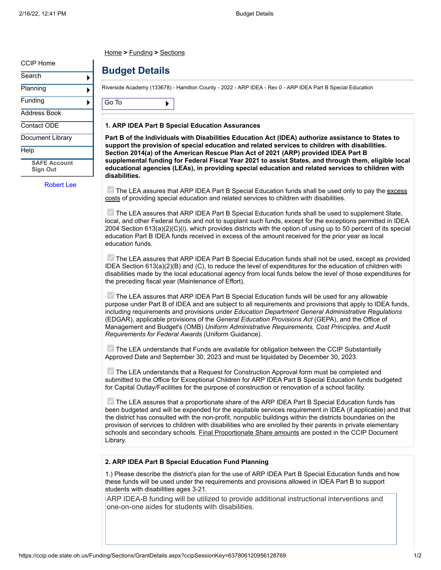[CCIP Home](javascript:__doPostBack()

| Search |  |
|--------|--|

[Planning](javascript:__doPostBack()

ь Þ ь

[Funding](javascript:__doPostBack()

[Address Book](javascript:__doPostBack()

[Contact ODE](javascript:__doPostBack()

[Document Library](javascript:__doPostBack()

### [Help](javascript:__doPostBack()

**[SAFE Account](https://ccip.ode.state.oh.us/Funding/Sections/GrantDetails.aspx?ccipSessionKey=637806120956128769&logout=true) Sign Out**

[Robert Lee](https://safe.ode.state.oh.us/portal)

## [Home](http://www.ode.state.oh.us/) **>** [Funding](https://ccip.ode.state.oh.us/Funding) **>** [Sections](https://ccip.ode.state.oh.us/Funding/Sections)

# **Budget Details**

Riverside Academy (133678) - Hamilton County - 2022 - ARP IDEA - Rev 0 - ARP IDEA Part B Special Education

[Go To](javascript:__doPostBack() ▶

### **1. ARP IDEA Part B Special Education Assurances**

**Part B of the Individuals with Disabilities Education Act (IDEA) authorize assistance to States to support the provision of special education and related services to children with disabilities. Section 2014(a) of the American Rescue Plan Act of 2021 (ARP) provided IDEA Part B supplemental funding for Federal Fiscal Year 2021 to assist States, and through them, eligible local educational agencies (LEAs), in providing special education and related services to children with disabilities.**

 $\blacksquare$  The LEA assures that ARP IDEA Part B Special Education funds shall be used only to pay the  $excess$ costs of providing special education and related services to children with disabilities.

The LEA assures that ARP IDEA Part B Special Education funds shall be used to supplement State, local, and other Federal funds and not to supplant such funds, except for the exceptions permitted in IDEA 2004 Section 613(a)(2)(C)(i), which provides districts with the option of using up to 50 percent of its special education Part B IDEA funds received in excess of the amount received for the prior year as local education funds.

The LEA assures that ARP IDEA Part B Special Education funds shall not be used, except as provided IDEA Section 613(a)(2)(B) and (C), to reduce the level of expenditures for the education of children with disabilities made by the local educational agency from local funds below the level of those expenditures for the preceding fiscal year (Maintenance of Effort).

 $\vee$  The LEA assures that ARP IDEA Part B Special Education funds will be used for any allowable purpose under Part B of IDEA and are subject to all requirements and provisions that apply to IDEA funds, including requirements and provisions under *Education Department General Administrative Regulations* (EDGAR), applicable provisions of the *General Education Provisions Act* (GEPA), and the Office of Management and Budget's (OMB) *Uniform Administrative Requirements, Cost Principles, and Audit Requirements for Federal Awards* (Uniform Guidance).

 $\blacksquare$  The LEA understands that Funds are available for obligation between the CCIP Substantially Approved Date and September 30, 2023 and must be liquidated by December 30, 2023.

The LEA understands that a Request for Construction Approval form must be completed and submitted to the Office for Exceptional Children for ARP IDEA Part B Special Education funds budgeted for Capital Outlay/Facilities for the purpose of construction or renovation of a school facility.

 $\blacksquare$  The LEA assures that a proportionate share of the ARP IDEA Part B Special Education funds has been budgeted and will be expended for the equitable services requirement in IDEA (if applicable) and that the district has consulted with the non-profit, nonpublic buildings within the districts boundaries on the provision of services to children with disabilities who are enrolled by their parents in private elementary schools and secondary schools. [Final Proportionate Share amounts](https://ccip.ode.state.oh.us/DocumentLibrary/ViewDocument.aspx?DocumentKey=88930) are posted in the CCIP Document Library.

### **2. ARP IDEA Part B Special Education Fund Planning**

1.) Please describe the district's plan for the use of ARP IDEA Part B Special Education funds and how these funds will be used under the requirements and provisions allowed in IDEA Part B to support students with disabilities ages 3-21.

ARP IDEA-B funding will be utilized to provide additional instructional interventions and one-on-one aides for students with disabilities.